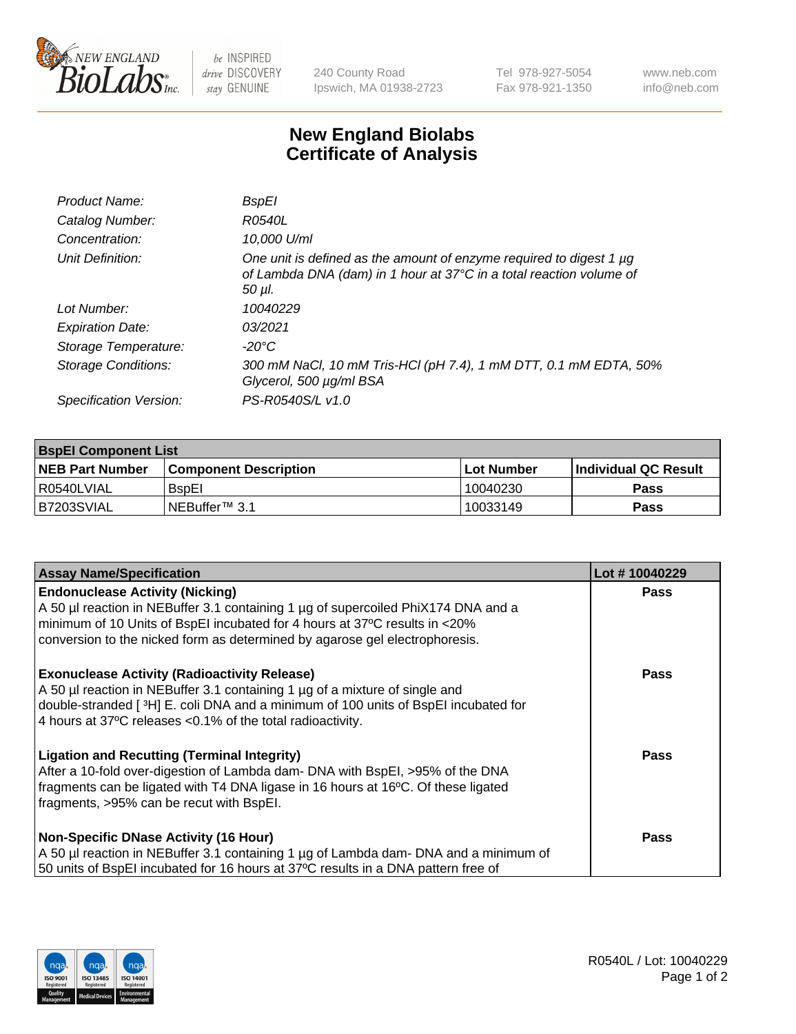

 $be$  INSPIRED drive DISCOVERY stay GENUINE

240 County Road Ipswich, MA 01938-2723 Tel 978-927-5054 Fax 978-921-1350 www.neb.com info@neb.com

## **New England Biolabs Certificate of Analysis**

| Product Name:              | <b>BspEl</b>                                                                                                                                                |
|----------------------------|-------------------------------------------------------------------------------------------------------------------------------------------------------------|
| Catalog Number:            | R0540L                                                                                                                                                      |
| Concentration:             | 10,000 U/ml                                                                                                                                                 |
| Unit Definition:           | One unit is defined as the amount of enzyme required to digest 1 µg<br>of Lambda DNA (dam) in 1 hour at 37°C in a total reaction volume of<br>$50$ $\mu$ l. |
| Lot Number:                | 10040229                                                                                                                                                    |
| <b>Expiration Date:</b>    | 03/2021                                                                                                                                                     |
| Storage Temperature:       | $-20^{\circ}$ C                                                                                                                                             |
| <b>Storage Conditions:</b> | 300 mM NaCl, 10 mM Tris-HCl (pH 7.4), 1 mM DTT, 0.1 mM EDTA, 50%<br>Glycerol, 500 µg/ml BSA                                                                 |
| Specification Version:     | PS-R0540S/L v1.0                                                                                                                                            |

| <b>BspEI Component List</b> |                              |             |                             |  |  |
|-----------------------------|------------------------------|-------------|-----------------------------|--|--|
| <b>NEB Part Number</b>      | <b>Component Description</b> | ⊺Lot Number | <b>Individual QC Result</b> |  |  |
| I R0540LVIAL                | <b>B</b> spEI                | 10040230    | Pass                        |  |  |
| IB7203SVIAL                 | INEBuffer™ 3.1               | 10033149    | <b>Pass</b>                 |  |  |

| <b>Assay Name/Specification</b>                                                      | Lot #10040229 |
|--------------------------------------------------------------------------------------|---------------|
| <b>Endonuclease Activity (Nicking)</b>                                               | <b>Pass</b>   |
| A 50 µl reaction in NEBuffer 3.1 containing 1 µg of supercoiled PhiX174 DNA and a    |               |
| minimum of 10 Units of BspEI incubated for 4 hours at 37°C results in <20%           |               |
| conversion to the nicked form as determined by agarose gel electrophoresis.          |               |
| <b>Exonuclease Activity (Radioactivity Release)</b>                                  | <b>Pass</b>   |
| A 50 µl reaction in NEBuffer 3.1 containing 1 µg of a mixture of single and          |               |
| double-stranded [3H] E. coli DNA and a minimum of 100 units of BspEI incubated for   |               |
| 4 hours at 37°C releases <0.1% of the total radioactivity.                           |               |
| <b>Ligation and Recutting (Terminal Integrity)</b>                                   | <b>Pass</b>   |
| After a 10-fold over-digestion of Lambda dam- DNA with BspEI, >95% of the DNA        |               |
| fragments can be ligated with T4 DNA ligase in 16 hours at 16°C. Of these ligated    |               |
| fragments, >95% can be recut with BspEI.                                             |               |
| Non-Specific DNase Activity (16 Hour)                                                | <b>Pass</b>   |
| A 50 µl reaction in NEBuffer 3.1 containing 1 µg of Lambda dam- DNA and a minimum of |               |
| 50 units of BspEI incubated for 16 hours at 37°C results in a DNA pattern free of    |               |